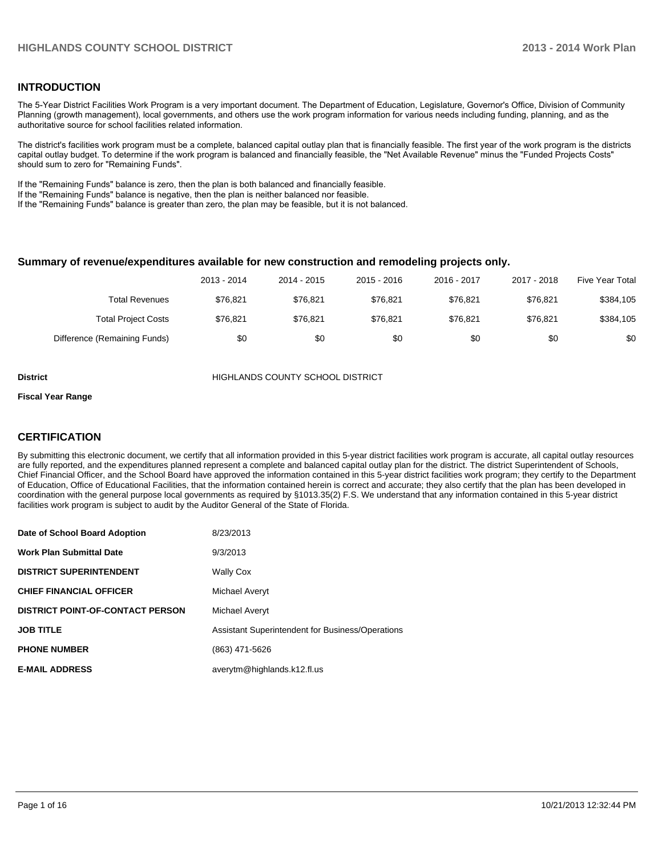### **INTRODUCTION**

The 5-Year District Facilities Work Program is a very important document. The Department of Education, Legislature, Governor's Office, Division of Community Planning (growth management), local governments, and others use the work program information for various needs including funding, planning, and as the authoritative source for school facilities related information.

The district's facilities work program must be a complete, balanced capital outlay plan that is financially feasible. The first year of the work program is the districts capital outlay budget. To determine if the work program is balanced and financially feasible, the "Net Available Revenue" minus the "Funded Projects Costs" should sum to zero for "Remaining Funds".

If the "Remaining Funds" balance is zero, then the plan is both balanced and financially feasible.

If the "Remaining Funds" balance is negative, then the plan is neither balanced nor feasible.

If the "Remaining Funds" balance is greater than zero, the plan may be feasible, but it is not balanced.

#### **Summary of revenue/expenditures available for new construction and remodeling projects only.**

|                              | 2013 - 2014 | 2014 - 2015 | $2015 - 2016$ | 2016 - 2017 | 2017 - 2018 | Five Year Total |
|------------------------------|-------------|-------------|---------------|-------------|-------------|-----------------|
| Total Revenues               | \$76.821    | \$76.821    | \$76.821      | \$76.821    | \$76.821    | \$384,105       |
| <b>Total Project Costs</b>   | \$76.821    | \$76.821    | \$76.821      | \$76.821    | \$76.821    | \$384,105       |
| Difference (Remaining Funds) | \$0         | \$0         | \$0           | \$0         | \$0         | \$0             |

**District COUNTY SCHOOL DISTRICT** 

#### **Fiscal Year Range**

### **CERTIFICATION**

By submitting this electronic document, we certify that all information provided in this 5-year district facilities work program is accurate, all capital outlay resources are fully reported, and the expenditures planned represent a complete and balanced capital outlay plan for the district. The district Superintendent of Schools, Chief Financial Officer, and the School Board have approved the information contained in this 5-year district facilities work program; they certify to the Department of Education, Office of Educational Facilities, that the information contained herein is correct and accurate; they also certify that the plan has been developed in coordination with the general purpose local governments as required by §1013.35(2) F.S. We understand that any information contained in this 5-year district facilities work program is subject to audit by the Auditor General of the State of Florida.

| Date of School Board Adoption           | 8/23/2013                                        |
|-----------------------------------------|--------------------------------------------------|
| <b>Work Plan Submittal Date</b>         | 9/3/2013                                         |
| <b>DISTRICT SUPERINTENDENT</b>          | <b>Wally Cox</b>                                 |
| <b>CHIEF FINANCIAL OFFICER</b>          | Michael Averyt                                   |
| <b>DISTRICT POINT-OF-CONTACT PERSON</b> | Michael Averyt                                   |
| <b>JOB TITLE</b>                        | Assistant Superintendent for Business/Operations |
| <b>PHONE NUMBER</b>                     | (863) 471-5626                                   |
| <b>E-MAIL ADDRESS</b>                   | averytm@highlands.k12.fl.us                      |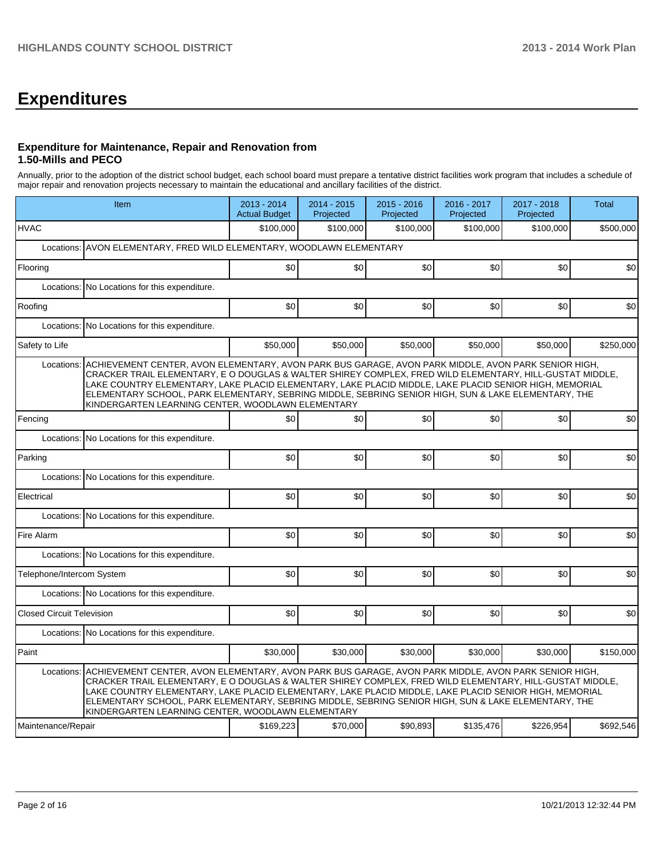# **Expenditures**

### **Expenditure for Maintenance, Repair and Renovation from 1.50-Mills and PECO**

Annually, prior to the adoption of the district school budget, each school board must prepare a tentative district facilities work program that includes a schedule of major repair and renovation projects necessary to maintain the educational and ancillary facilities of the district.

|                                  | Item                                                                                                                                                                                                                                                                                                                                                                                                                                                                                             |           | 2014 - 2015<br>Projected | 2015 - 2016<br>Projected | 2016 - 2017<br>Projected | 2017 - 2018<br>Projected | <b>Total</b> |  |  |  |  |
|----------------------------------|--------------------------------------------------------------------------------------------------------------------------------------------------------------------------------------------------------------------------------------------------------------------------------------------------------------------------------------------------------------------------------------------------------------------------------------------------------------------------------------------------|-----------|--------------------------|--------------------------|--------------------------|--------------------------|--------------|--|--|--|--|
| <b>HVAC</b>                      |                                                                                                                                                                                                                                                                                                                                                                                                                                                                                                  | \$100.000 | \$100,000                | \$100,000                | \$100,000                | \$100,000                | \$500,000    |  |  |  |  |
|                                  | Locations: AVON ELEMENTARY, FRED WILD ELEMENTARY, WOODLAWN ELEMENTARY                                                                                                                                                                                                                                                                                                                                                                                                                            |           |                          |                          |                          |                          |              |  |  |  |  |
| Flooring                         |                                                                                                                                                                                                                                                                                                                                                                                                                                                                                                  | \$0       | \$0                      | \$0                      | \$0                      | \$0                      | \$0          |  |  |  |  |
|                                  | Locations: No Locations for this expenditure.                                                                                                                                                                                                                                                                                                                                                                                                                                                    |           |                          |                          |                          |                          |              |  |  |  |  |
| Roofing                          |                                                                                                                                                                                                                                                                                                                                                                                                                                                                                                  | \$0       | \$0                      | \$0                      | \$0                      | \$0                      | \$0          |  |  |  |  |
| Locations:                       | No Locations for this expenditure.                                                                                                                                                                                                                                                                                                                                                                                                                                                               |           |                          |                          |                          |                          |              |  |  |  |  |
| Safety to Life                   |                                                                                                                                                                                                                                                                                                                                                                                                                                                                                                  | \$50,000  | \$50,000                 | \$50,000                 | \$50,000                 | \$50,000                 | \$250,000    |  |  |  |  |
| Locations:                       | ACHIEVEMENT CENTER, AVON ELEMENTARY, AVON PARK BUS GARAGE, AVON PARK MIDDLE, AVON PARK SENIOR HIGH,<br>CRACKER TRAIL ELEMENTARY, E O DOUGLAS & WALTER SHIREY COMPLEX, FRED WILD ELEMENTARY, HILL-GUSTAT MIDDLE,<br>LAKE COUNTRY ELEMENTARY, LAKE PLACID ELEMENTARY, LAKE PLACID MIDDLE, LAKE PLACID SENIOR HIGH, MEMORIAL<br>ELEMENTARY SCHOOL, PARK ELEMENTARY, SEBRING MIDDLE, SEBRING SENIOR HIGH, SUN & LAKE ELEMENTARY, THE<br>KINDERGARTEN LEARNING CENTER, WOODLAWN ELEMENTARY            |           |                          |                          |                          |                          |              |  |  |  |  |
| Fencing                          |                                                                                                                                                                                                                                                                                                                                                                                                                                                                                                  | \$0       | \$0                      | \$0                      | \$0                      | \$0                      | \$0          |  |  |  |  |
|                                  | Locations: No Locations for this expenditure.                                                                                                                                                                                                                                                                                                                                                                                                                                                    |           |                          |                          |                          |                          |              |  |  |  |  |
| Parking                          |                                                                                                                                                                                                                                                                                                                                                                                                                                                                                                  | \$0       | \$0                      | \$0                      | \$0                      | \$0                      | \$0          |  |  |  |  |
|                                  | Locations: No Locations for this expenditure.                                                                                                                                                                                                                                                                                                                                                                                                                                                    |           |                          |                          |                          |                          |              |  |  |  |  |
| Electrical                       |                                                                                                                                                                                                                                                                                                                                                                                                                                                                                                  | \$0       | \$0                      | \$0                      | \$0                      | \$0                      | \$0          |  |  |  |  |
|                                  | Locations: No Locations for this expenditure.                                                                                                                                                                                                                                                                                                                                                                                                                                                    |           |                          |                          |                          |                          |              |  |  |  |  |
| Fire Alarm                       |                                                                                                                                                                                                                                                                                                                                                                                                                                                                                                  | \$0       | \$0                      | \$0                      | \$0                      | \$0                      | \$0          |  |  |  |  |
|                                  | Locations: No Locations for this expenditure.                                                                                                                                                                                                                                                                                                                                                                                                                                                    |           |                          |                          |                          |                          |              |  |  |  |  |
| Telephone/Intercom System        |                                                                                                                                                                                                                                                                                                                                                                                                                                                                                                  | \$0       | \$0                      | \$0                      | \$0                      | \$0                      | \$0          |  |  |  |  |
|                                  | Locations: No Locations for this expenditure.                                                                                                                                                                                                                                                                                                                                                                                                                                                    |           |                          |                          |                          |                          |              |  |  |  |  |
| <b>Closed Circuit Television</b> |                                                                                                                                                                                                                                                                                                                                                                                                                                                                                                  | \$0       | \$0                      | \$0                      | \$0                      | \$0                      | \$0          |  |  |  |  |
|                                  | Locations: No Locations for this expenditure.                                                                                                                                                                                                                                                                                                                                                                                                                                                    |           |                          |                          |                          |                          |              |  |  |  |  |
| Paint                            |                                                                                                                                                                                                                                                                                                                                                                                                                                                                                                  | \$30,000  | \$30,000                 | \$30,000                 | \$30,000                 | \$30,000                 | \$150,000    |  |  |  |  |
|                                  | Locations: ACHIEVEMENT CENTER, AVON ELEMENTARY, AVON PARK BUS GARAGE, AVON PARK MIDDLE, AVON PARK SENIOR HIGH,<br>CRACKER TRAIL ELEMENTARY, E O DOUGLAS & WALTER SHIREY COMPLEX, FRED WILD ELEMENTARY, HILL-GUSTAT MIDDLE,<br>LAKE COUNTRY ELEMENTARY, LAKE PLACID ELEMENTARY, LAKE PLACID MIDDLE, LAKE PLACID SENIOR HIGH, MEMORIAL<br>ELEMENTARY SCHOOL, PARK ELEMENTARY, SEBRING MIDDLE, SEBRING SENIOR HIGH, SUN & LAKE ELEMENTARY, THE<br>KINDERGARTEN LEARNING CENTER, WOODLAWN ELEMENTARY | \$169,223 | \$70,000                 | \$90,893                 | \$135,476                | \$226,954                | \$692,546    |  |  |  |  |
| Maintenance/Repair               |                                                                                                                                                                                                                                                                                                                                                                                                                                                                                                  |           |                          |                          |                          |                          |              |  |  |  |  |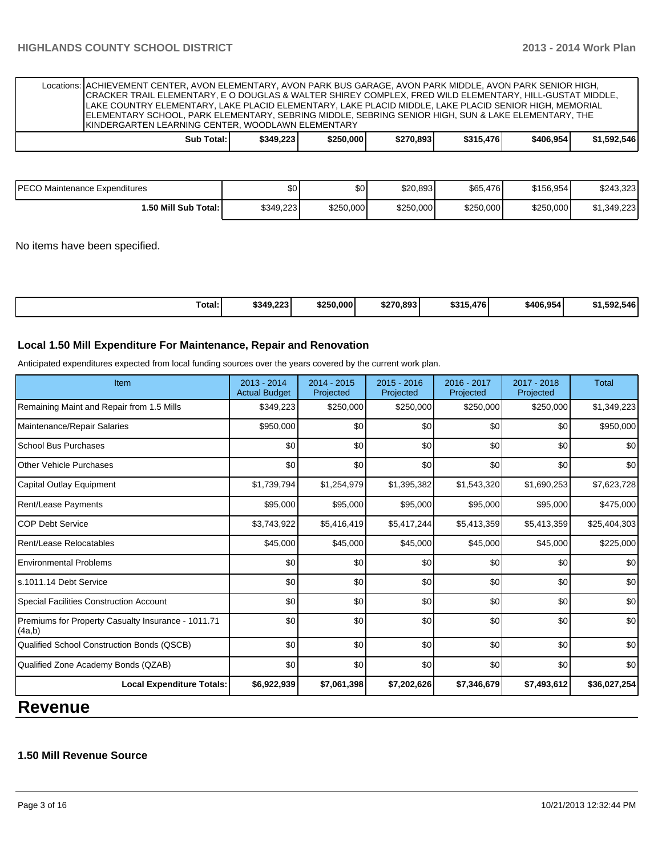| Locations: ACHIEVEMENT CENTER, AVON ELEMENTARY, AVON PARK BUS GARAGE, AVON PARK MIDDLE, AVON PARK SENIOR HIGH,<br>CRACKER TRAIL ELEMENTARY, E O DOUGLAS & WALTER SHIREY COMPLEX, FRED WILD ELEMENTARY, HILL-GUSTAT MIDDLE,<br>LAKE COUNTRY ELEMENTARY, LAKE PLACID ELEMENTARY, LAKE PLACID MIDDLE, LAKE PLACID SENIOR HIGH, MEMORIAL<br>ELEMENTARY SCHOOL, PARK ELEMENTARY, SEBRING MIDDLE, SEBRING SENIOR HIGH, SUN & LAKE ELEMENTARY, THE<br><b>IKINDERGARTEN LEARNING CENTER, WOODLAWN ELEMENTARY</b> |           |           |           |           |           |             |
|----------------------------------------------------------------------------------------------------------------------------------------------------------------------------------------------------------------------------------------------------------------------------------------------------------------------------------------------------------------------------------------------------------------------------------------------------------------------------------------------------------|-----------|-----------|-----------|-----------|-----------|-------------|
| Sub Total: I                                                                                                                                                                                                                                                                                                                                                                                                                                                                                             | \$349.223 | \$250,000 | \$270.893 | \$315,476 | \$406.954 | \$1.592.546 |

| <b>PECO Maintenance Expenditures</b> | \$0       | \$0 <sub>1</sub> | \$20,893  | \$65,476  | \$156,954 | \$243,323   |
|--------------------------------------|-----------|------------------|-----------|-----------|-----------|-------------|
| I.50 Mill Sub Total: I               | \$349.223 | \$250,000        | \$250,000 | \$250,000 | \$250,000 | \$1.349.223 |

No items have been specified.

| $\overline{\phantom{a}}$<br>Total: | \$349.223 | \$250,000 | \$270.893 | 694 E<br>.476<br>∵ک∆ت | \$406,954 | .592.546 |
|------------------------------------|-----------|-----------|-----------|-----------------------|-----------|----------|
|------------------------------------|-----------|-----------|-----------|-----------------------|-----------|----------|

#### **Local 1.50 Mill Expenditure For Maintenance, Repair and Renovation**

Anticipated expenditures expected from local funding sources over the years covered by the current work plan.

| Item                                                         | $2013 - 2014$<br><b>Actual Budget</b> | $2014 - 2015$<br>Projected | $2015 - 2016$<br>Projected | 2016 - 2017<br>Projected | $2017 - 2018$<br>Projected | <b>Total</b> |
|--------------------------------------------------------------|---------------------------------------|----------------------------|----------------------------|--------------------------|----------------------------|--------------|
| Remaining Maint and Repair from 1.5 Mills                    | \$349,223                             | \$250,000                  | \$250,000                  | \$250,000                | \$250,000                  | \$1,349,223  |
| Maintenance/Repair Salaries                                  | \$950,000                             | \$0                        | \$0                        | \$0                      | \$0                        | \$950,000    |
| <b>School Bus Purchases</b>                                  | \$0                                   | \$0                        | \$0                        | \$0                      | \$0                        | \$0          |
| <b>Other Vehicle Purchases</b>                               | \$0                                   | \$0                        | \$0                        | \$0                      | \$0                        | \$0          |
| Capital Outlay Equipment                                     | \$1,739,794                           | \$1,254,979                | \$1,395,382                | \$1,543,320              | \$1,690,253                | \$7,623,728  |
| <b>Rent/Lease Payments</b>                                   | \$95,000                              | \$95,000                   | \$95,000                   | \$95,000                 | \$95,000                   | \$475,000    |
| <b>COP Debt Service</b>                                      | \$3,743,922                           | \$5,416,419                | \$5,417,244                | \$5,413,359              | \$5,413,359                | \$25,404,303 |
| Rent/Lease Relocatables                                      | \$45,000                              | \$45,000                   | \$45,000                   | \$45,000                 | \$45,000                   | \$225,000    |
| <b>Environmental Problems</b>                                | \$0                                   | \$0                        | \$0                        | \$0                      | \$0                        | \$0          |
| ls.1011.14 Debt Service                                      | \$0                                   | \$0                        | \$0                        | \$0                      | \$0                        | \$0          |
| Special Facilities Construction Account                      | \$0                                   | \$0                        | \$0                        | \$0                      | \$0                        | \$0          |
| Premiums for Property Casualty Insurance - 1011.71<br>(4a,b) | \$0                                   | \$0                        | \$0                        | \$0                      | \$0                        | \$0          |
| Qualified School Construction Bonds (QSCB)                   | $\Omega$                              | \$0                        | \$0                        | \$0                      | \$0                        | \$0          |
| Qualified Zone Academy Bonds (QZAB)                          | \$0                                   | \$0                        | \$0                        | \$0                      | \$0                        | \$0          |
| <b>Local Expenditure Totals:</b>                             | \$6,922,939                           | \$7,061,398                | \$7,202,626                | \$7,346,679              | \$7,493,612                | \$36,027,254 |
| n<br>$-1$                                                    |                                       |                            |                            |                          |                            |              |

**Revenue**

## **1.50 Mill Revenue Source**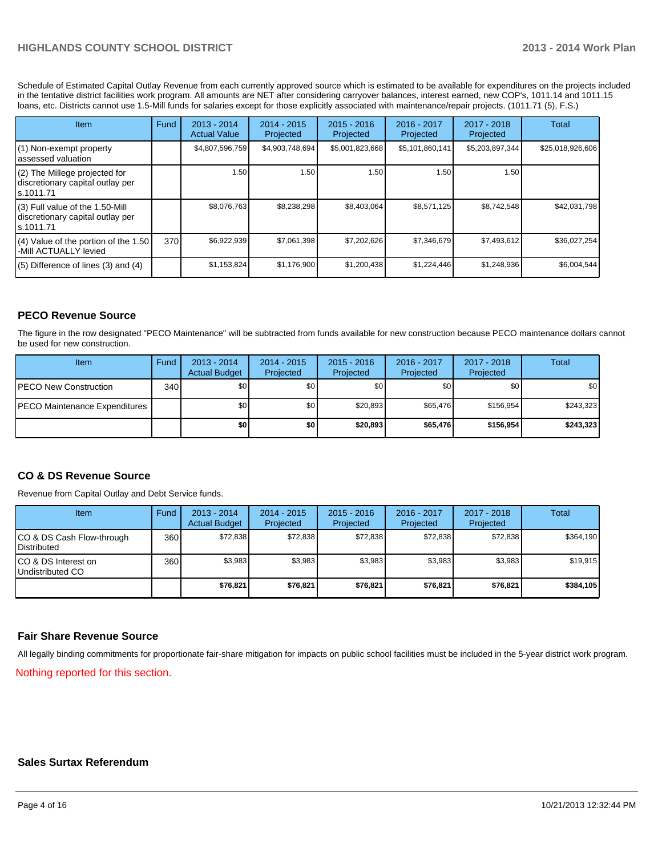## **HIGHLANDS COUNTY SCHOOL DISTRICT 2013 - 2014 Work Plan**

Schedule of Estimated Capital Outlay Revenue from each currently approved source which is estimated to be available for expenditures on the projects included in the tentative district facilities work program. All amounts are NET after considering carryover balances, interest earned, new COP's, 1011.14 and 1011.15 loans, etc. Districts cannot use 1.5-Mill funds for salaries except for those explicitly associated with maintenance/repair projects. (1011.71 (5), F.S.)

| <b>Item</b>                                                                         | Fund | $2013 - 2014$<br><b>Actual Value</b> | $2014 - 2015$<br>Projected | $2015 - 2016$<br>Projected | $2016 - 2017$<br>Projected | $2017 - 2018$<br>Projected | Total            |
|-------------------------------------------------------------------------------------|------|--------------------------------------|----------------------------|----------------------------|----------------------------|----------------------------|------------------|
| (1) Non-exempt property<br>lassessed valuation                                      |      | \$4,807,596,759                      | \$4,903,748,694            | \$5,001,823,668            | \$5,101,860,141            | \$5,203,897,344            | \$25,018,926,606 |
| $(2)$ The Millege projected for<br>discretionary capital outlay per<br>ls.1011.71   |      | 1.50                                 | 1.50                       | 1.50                       | 1.50                       | 1.50                       |                  |
| $(3)$ Full value of the 1.50-Mill<br>discretionary capital outlay per<br>ls.1011.71 |      | \$8.076.763                          | \$8,238,298                | \$8,403,064                | \$8,571,125                | \$8,742,548                | \$42,031,798     |
| $(4)$ Value of the portion of the 1.50<br>I-Mill ACTUALLY levied                    | 370  | \$6,922,939                          | \$7,061,398                | \$7,202,626                | \$7,346,679                | \$7,493,612                | \$36,027,254     |
| $(5)$ Difference of lines (3) and (4)                                               |      | \$1,153,824                          | \$1,176,900                | \$1,200,438                | \$1,224,446                | \$1,248,936                | \$6,004,544      |

#### **PECO Revenue Source**

The figure in the row designated "PECO Maintenance" will be subtracted from funds available for new construction because PECO maintenance dollars cannot be used for new construction.

| Item                                  | Fund | $2013 - 2014$<br><b>Actual Budget</b> | $2014 - 2015$<br>Projected | $2015 - 2016$<br>Projected | 2016 - 2017<br>Projected | 2017 - 2018<br>Projected | Total     |
|---------------------------------------|------|---------------------------------------|----------------------------|----------------------------|--------------------------|--------------------------|-----------|
| <b>PECO New Construction</b>          | 340  | \$O I                                 | \$0                        | \$0                        | \$0 <sub>0</sub>         | \$0                      | \$0       |
| <b>IPECO Maintenance Expenditures</b> |      | \$O I                                 | \$0                        | \$20,893                   | \$65,476                 | \$156.954                | \$243,323 |
|                                       |      | \$٥١                                  | \$0                        | \$20,893                   | \$65,476                 | \$156.954                | \$243,323 |

#### **CO & DS Revenue Source**

Revenue from Capital Outlay and Debt Service funds.

| Item                                              | Fund | 2013 - 2014<br><b>Actual Budget</b> | $2014 - 2015$<br>Projected | $2015 - 2016$<br>Projected | $2016 - 2017$<br>Projected | $2017 - 2018$<br>Projected | Total     |
|---------------------------------------------------|------|-------------------------------------|----------------------------|----------------------------|----------------------------|----------------------------|-----------|
| CO & DS Cash Flow-through<br><b>I</b> Distributed | 360  | \$72,838                            | \$72,838                   | \$72.838                   | \$72.838                   | \$72,838                   | \$364,190 |
| ICO & DS Interest on<br>Undistributed CO          | 360  | \$3,983                             | \$3,983                    | \$3,983                    | \$3,983                    | \$3,983                    | \$19,915  |
|                                                   |      | \$76,821                            | \$76,821                   | \$76,821                   | \$76,821                   | \$76,821                   | \$384,105 |

#### **Fair Share Revenue Source**

All legally binding commitments for proportionate fair-share mitigation for impacts on public school facilities must be included in the 5-year district work program.

Nothing reported for this section.

#### **Sales Surtax Referendum**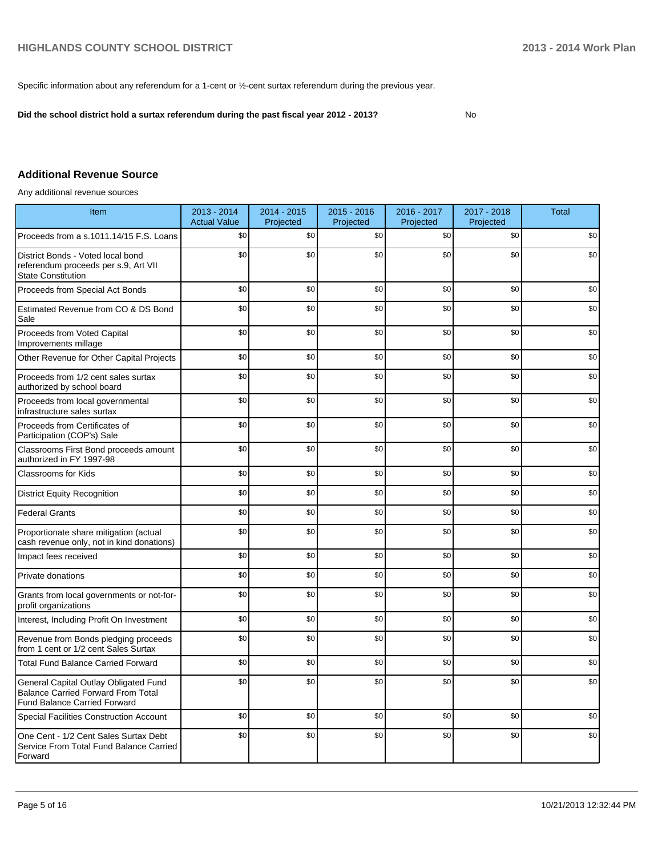Specific information about any referendum for a 1-cent or ½-cent surtax referendum during the previous year.

**Did the school district hold a surtax referendum during the past fiscal year 2012 - 2013?**

No

## **Additional Revenue Source**

Any additional revenue sources

| Item                                                                                                                      | 2013 - 2014<br><b>Actual Value</b> | 2014 - 2015<br>Projected | $2015 - 2016$<br>Projected | 2016 - 2017<br>Projected | 2017 - 2018<br>Projected | <b>Total</b> |
|---------------------------------------------------------------------------------------------------------------------------|------------------------------------|--------------------------|----------------------------|--------------------------|--------------------------|--------------|
| Proceeds from a s.1011.14/15 F.S. Loans                                                                                   | \$0                                | \$0                      | \$0                        | \$0                      | \$0                      | \$0          |
| District Bonds - Voted local bond<br>referendum proceeds per s.9, Art VII<br><b>State Constitution</b>                    | \$0                                | \$0                      | \$0                        | \$0                      | \$0                      | \$0          |
| Proceeds from Special Act Bonds                                                                                           | \$0                                | \$0                      | \$0                        | \$0                      | \$0                      | \$0          |
| Estimated Revenue from CO & DS Bond<br>Sale                                                                               | \$0                                | \$0                      | \$0                        | \$0                      | \$0                      | \$0          |
| Proceeds from Voted Capital<br>Improvements millage                                                                       | \$0                                | \$0                      | \$0                        | \$0                      | \$0                      | \$0          |
| Other Revenue for Other Capital Projects                                                                                  | \$0                                | \$0                      | \$0                        | \$0                      | \$0                      | \$0          |
| Proceeds from 1/2 cent sales surtax<br>authorized by school board                                                         | \$0                                | \$0                      | \$0                        | \$0                      | \$0                      | \$0          |
| Proceeds from local governmental<br>infrastructure sales surtax                                                           | \$0                                | \$0                      | \$0                        | \$0                      | \$0                      | \$0          |
| Proceeds from Certificates of<br>Participation (COP's) Sale                                                               | \$0                                | $\$0$                    | \$0                        | \$0                      | \$0                      | \$0          |
| Classrooms First Bond proceeds amount<br>authorized in FY 1997-98                                                         | \$0                                | \$0                      | \$0                        | \$0                      | \$0                      | \$0          |
| <b>Classrooms for Kids</b>                                                                                                | \$0                                | \$0                      | \$0                        | \$0                      | \$0                      | \$0          |
| <b>District Equity Recognition</b>                                                                                        | \$0                                | \$0                      | \$0                        | \$0                      | \$0                      | \$0          |
| <b>Federal Grants</b>                                                                                                     | \$0                                | \$0                      | \$0                        | \$0                      | \$0                      | \$0          |
| Proportionate share mitigation (actual<br>cash revenue only, not in kind donations)                                       | \$0                                | \$0                      | \$0                        | \$0                      | \$0                      | \$0          |
| Impact fees received                                                                                                      | \$0                                | \$0                      | \$0                        | \$0                      | \$0                      | \$0          |
| Private donations                                                                                                         | \$0                                | \$0                      | \$0                        | \$0                      | \$0                      | \$0          |
| Grants from local governments or not-for-<br>profit organizations                                                         | \$0                                | \$0                      | \$0                        | \$0                      | \$0                      | \$0          |
| Interest, Including Profit On Investment                                                                                  | \$0                                | \$0                      | \$0                        | \$0                      | \$0                      | \$0          |
| Revenue from Bonds pledging proceeds<br>from 1 cent or 1/2 cent Sales Surtax                                              | \$0                                | \$0                      | \$0                        | \$0                      | \$0                      | \$0          |
| <b>Total Fund Balance Carried Forward</b>                                                                                 | \$0                                | \$0                      | \$0                        | \$0                      | \$0                      | \$0          |
| General Capital Outlay Obligated Fund<br><b>Balance Carried Forward From Total</b><br><b>Fund Balance Carried Forward</b> | \$0                                | \$0                      | \$0                        | \$0                      | \$0                      | \$0          |
| <b>Special Facilities Construction Account</b>                                                                            | \$0                                | \$0                      | \$0                        | \$0                      | \$0                      | \$0          |
| One Cent - 1/2 Cent Sales Surtax Debt<br>Service From Total Fund Balance Carried<br>Forward                               | \$0                                | \$0                      | \$0                        | \$0                      | \$0                      | \$0          |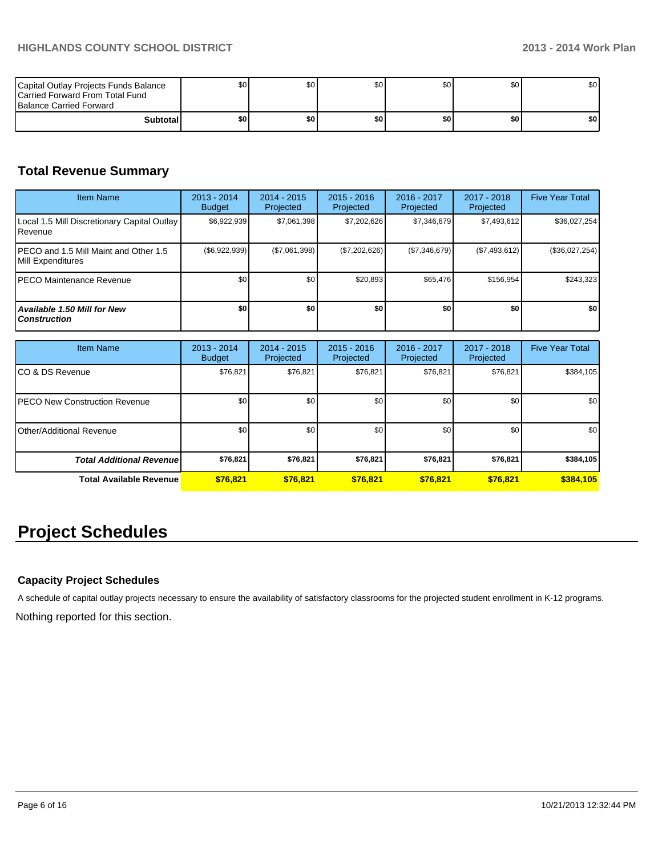| Capital Outlay Projects Funds Balance<br>Carried Forward From Total Fund<br><b>Balance Carried Forward</b> | SO I  | \$0 | \$0 | \$0 | \$0 | \$0 |
|------------------------------------------------------------------------------------------------------------|-------|-----|-----|-----|-----|-----|
| Subtotall                                                                                                  | \$0 I | \$0 | \$0 | \$٥ | \$0 | \$0 |

## **Total Revenue Summary**

| <b>Item Name</b>                                            | $2013 - 2014$<br><b>Budget</b> | $2014 - 2015$<br>Projected | $2015 - 2016$<br>Projected | $2016 - 2017$<br>Projected | $2017 - 2018$<br>Projected | <b>Five Year Total</b> |
|-------------------------------------------------------------|--------------------------------|----------------------------|----------------------------|----------------------------|----------------------------|------------------------|
| Local 1.5 Mill Discretionary Capital Outlay<br>Revenue      | \$6,922,939                    | \$7,061,398                | \$7,202,626                | \$7.346.679                | \$7,493,612                | \$36,027,254           |
| IPECO and 1.5 Mill Maint and Other 1.5<br>Mill Expenditures | $(\$6,922,939)$                | (\$7,061,398)              | (\$7,202,626)              | (\$7,346,679)              | (\$7,493,612)              | (\$36,027,254)         |
| IPECO Maintenance Revenue                                   | \$0 <sub>1</sub>               | \$0                        | \$20,893                   | \$65,476                   | \$156,954                  | \$243,323              |
| Available 1.50 Mill for New<br><b>Construction</b>          | \$O                            | \$0                        | \$0                        | \$0                        | \$0                        | \$0                    |

| <b>Item Name</b>                      | 2013 - 2014<br><b>Budget</b> | $2014 - 2015$<br>Projected | $2015 - 2016$<br>Projected | 2016 - 2017<br>Projected | 2017 - 2018<br>Projected | <b>Five Year Total</b> |
|---------------------------------------|------------------------------|----------------------------|----------------------------|--------------------------|--------------------------|------------------------|
| ICO & DS Revenue                      | \$76,821                     | \$76,821                   | \$76,821                   | \$76,821                 | \$76,821                 | \$384,105              |
| <b>IPECO New Construction Revenue</b> | \$0                          | \$0                        | \$0                        | \$0                      | \$0                      | \$0                    |
| Other/Additional Revenue              | \$0                          | \$0                        | \$0                        | \$0                      | \$0                      | \$0                    |
| <b>Total Additional Revenuel</b>      | \$76,821                     | \$76,821                   | \$76,821                   | \$76,821                 | \$76,821                 | \$384,105              |
| <b>Total Available Revenue</b>        | \$76,821                     | \$76.821                   | \$76,821                   | \$76,821                 | \$76,821                 | \$384,105              |

# **Project Schedules**

## **Capacity Project Schedules**

A schedule of capital outlay projects necessary to ensure the availability of satisfactory classrooms for the projected student enrollment in K-12 programs.

Nothing reported for this section.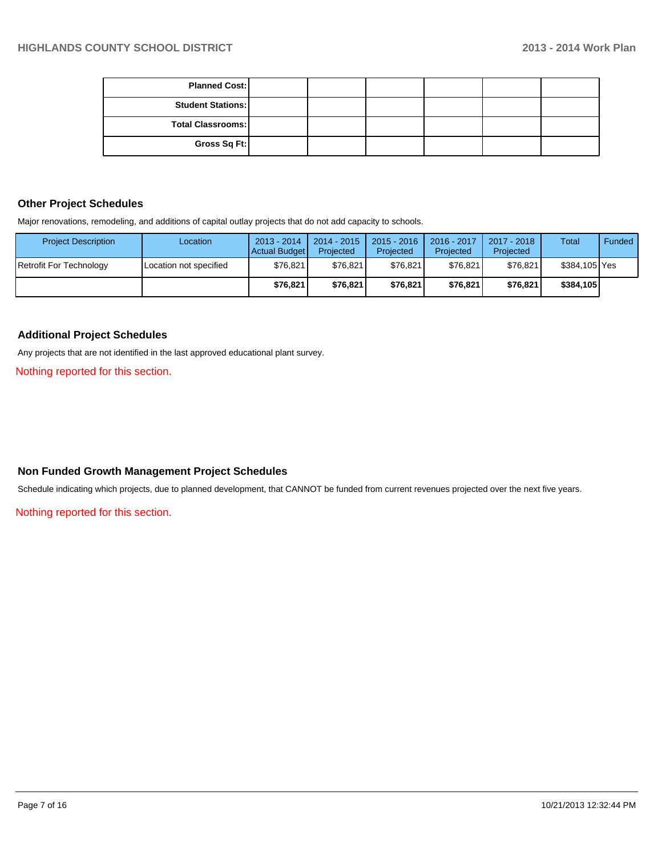| <b>Planned Cost:</b>     |  |  |  |
|--------------------------|--|--|--|
| <b>Student Stations:</b> |  |  |  |
| <b>Total Classrooms:</b> |  |  |  |
| Gross Sq Ft:             |  |  |  |

## **Other Project Schedules**

Major renovations, remodeling, and additions of capital outlay projects that do not add capacity to schools.

| <b>Project Description</b> | Location               | $2013 - 2014$<br>Actual Budget | 2014 - 2015<br>Projected | $2015 - 2016$<br>Projected | 2016 - 2017<br>Projected | 2017 - 2018<br>Projected | Total         | Funded |
|----------------------------|------------------------|--------------------------------|--------------------------|----------------------------|--------------------------|--------------------------|---------------|--------|
| Retrofit For Technology    | Location not specified | \$76,821                       | \$76.821                 | \$76.821                   | \$76.821                 | \$76.821                 | \$384.105 Yes |        |
|                            |                        | \$76.821                       | \$76.821                 | \$76,821                   | \$76.821                 | \$76.821                 | \$384.105     |        |

## **Additional Project Schedules**

Any projects that are not identified in the last approved educational plant survey.

Nothing reported for this section.

#### **Non Funded Growth Management Project Schedules**

Schedule indicating which projects, due to planned development, that CANNOT be funded from current revenues projected over the next five years.

Nothing reported for this section.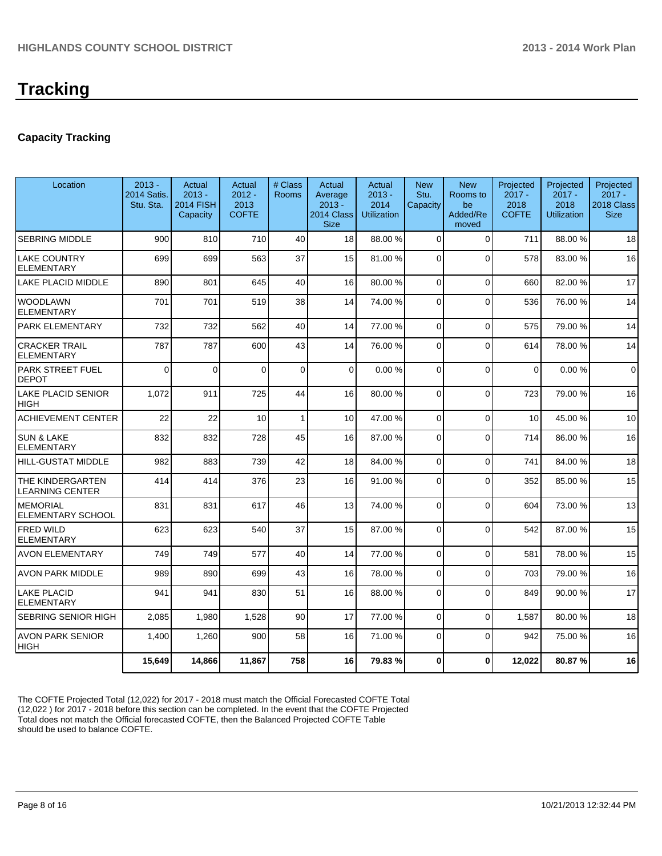## **Capacity Tracking**

| Location                                   | $2013 -$<br>2014 Satis.<br>Stu. Sta. | Actual<br>$2013 -$<br><b>2014 FISH</b><br>Capacity | Actual<br>$2012 -$<br>2013<br><b>COFTE</b> | # Class<br><b>Rooms</b> | Actual<br>Average<br>$2013 -$<br>2014 Class<br><b>Size</b> | Actual<br>$2013 -$<br>2014<br><b>Utilization</b> | <b>New</b><br>Stu.<br>Capacity | <b>New</b><br>Rooms to<br>be<br>Added/Re<br>moved | Projected<br>$2017 -$<br>2018<br><b>COFTE</b> | Projected<br>$2017 -$<br>2018<br><b>Utilization</b> | Projected<br>$2017 -$<br>2018 Class<br><b>Size</b> |
|--------------------------------------------|--------------------------------------|----------------------------------------------------|--------------------------------------------|-------------------------|------------------------------------------------------------|--------------------------------------------------|--------------------------------|---------------------------------------------------|-----------------------------------------------|-----------------------------------------------------|----------------------------------------------------|
| <b>SEBRING MIDDLE</b>                      | 900                                  | 810                                                | 710                                        | 40                      | 18                                                         | 88.00 %                                          | $\Omega$                       | $\Omega$                                          | 711                                           | 88.00 %                                             | 18                                                 |
| <b>LAKE COUNTRY</b><br><b>ELEMENTARY</b>   | 699                                  | 699                                                | 563                                        | 37                      | 15                                                         | 81.00 %                                          | 0                              | $\Omega$                                          | 578                                           | 83.00 %                                             | 16                                                 |
| <b>LAKE PLACID MIDDLE</b>                  | 890                                  | 801                                                | 645                                        | 40                      | 16                                                         | 80.00 %                                          | $\Omega$                       | $\Omega$                                          | 660                                           | 82.00%                                              | 17                                                 |
| <b>WOODLAWN</b><br><b>ELEMENTARY</b>       | 701                                  | 701                                                | 519                                        | 38                      | 14                                                         | 74.00 %                                          | 0                              | $\Omega$                                          | 536                                           | 76.00 %                                             | 14                                                 |
| PARK ELEMENTARY                            | 732                                  | 732                                                | 562                                        | 40                      | 14                                                         | 77.00 %                                          | $\Omega$                       | $\Omega$                                          | 575                                           | 79.00 %                                             | 14                                                 |
| <b>CRACKER TRAIL</b><br><b>ELEMENTARY</b>  | 787                                  | 787                                                | 600                                        | 43                      | 14                                                         | 76.00 %                                          | $\Omega$                       | $\Omega$                                          | 614                                           | 78.00 %                                             | 14                                                 |
| <b>PARK STREET FUEL</b><br><b>DEPOT</b>    | $\Omega$                             | $\Omega$                                           | $\Omega$                                   | $\Omega$                | $\Omega$                                                   | 0.00%                                            | $\Omega$                       | $\Omega$                                          | $\Omega$                                      | 0.00%                                               | $\Omega$                                           |
| LAKE PLACID SENIOR<br>HIGH                 | 1,072                                | 911                                                | 725                                        | 44                      | 16                                                         | 80.00 %                                          | $\Omega$                       | $\Omega$                                          | 723                                           | 79.00 %                                             | 16                                                 |
| <b>ACHIEVEMENT CENTER</b>                  | 22                                   | 22                                                 | 10                                         | $\mathbf{1}$            | 10                                                         | 47.00 %                                          | 0                              | $\Omega$                                          | 10                                            | 45.00 %                                             | 10                                                 |
| <b>SUN &amp; LAKE</b><br><b>ELEMENTARY</b> | 832                                  | 832                                                | 728                                        | 45                      | 16                                                         | 87.00 %                                          | $\Omega$                       | $\Omega$                                          | 714                                           | 86.00 %                                             | 16                                                 |
| <b>HILL-GUSTAT MIDDLE</b>                  | 982                                  | 883                                                | 739                                        | 42                      | 18                                                         | 84.00 %                                          | 0                              | $\Omega$                                          | 741                                           | 84.00%                                              | 18                                                 |
| THE KINDERGARTEN<br>LEARNING CENTER        | 414                                  | 414                                                | 376                                        | 23                      | 16                                                         | 91.00 %                                          | $\Omega$                       | $\Omega$                                          | 352                                           | 85.00 %                                             | 15                                                 |
| <b>MEMORIAL</b><br>ELEMENTARY SCHOOL       | 831                                  | 831                                                | 617                                        | 46                      | 13                                                         | 74.00 %                                          | $\Omega$                       | $\Omega$                                          | 604                                           | 73.00 %                                             | 13                                                 |
| <b>FRED WILD</b><br><b>ELEMENTARY</b>      | 623                                  | 623                                                | 540                                        | 37                      | 15                                                         | 87.00 %                                          | $\Omega$                       | $\Omega$                                          | 542                                           | 87.00 %                                             | 15                                                 |
| <b>AVON ELEMENTARY</b>                     | 749                                  | 749                                                | 577                                        | 40                      | 14                                                         | 77.00 %                                          | $\Omega$                       | $\Omega$                                          | 581                                           | 78.00 %                                             | 15                                                 |
| AVON PARK MIDDLE                           | 989                                  | 890                                                | 699                                        | 43                      | 16                                                         | 78.00 %                                          | 0                              | $\Omega$                                          | 703                                           | 79.00 %                                             | 16                                                 |
| <b>LAKE PLACID</b><br><b>ELEMENTARY</b>    | 941                                  | 941                                                | 830                                        | 51                      | 16                                                         | 88.00 %                                          | $\Omega$                       | $\Omega$                                          | 849                                           | 90.00 %                                             | 17                                                 |
| SEBRING SENIOR HIGH                        | 2,085                                | 1,980                                              | 1,528                                      | 90                      | 17                                                         | 77.00 %                                          | 0                              | $\Omega$                                          | 1,587                                         | 80.00%                                              | 18                                                 |
| <b>AVON PARK SENIOR</b><br>HIGH            | 1,400                                | 1,260                                              | 900                                        | 58                      | 16                                                         | 71.00 %                                          | $\Omega$                       | $\Omega$                                          | 942                                           | 75.00 %                                             | 16                                                 |
|                                            | 15,649                               | 14,866                                             | 11,867                                     | 758                     | 16                                                         | 79.83%                                           | 0                              | $\mathbf{0}$                                      | 12,022                                        | 80.87%                                              | 16                                                 |

The COFTE Projected Total (12,022) for 2017 - 2018 must match the Official Forecasted COFTE Total (12,022 ) for 2017 - 2018 before this section can be completed. In the event that the COFTE Projected Total does not match the Official forecasted COFTE, then the Balanced Projected COFTE Table should be used to balance COFTE.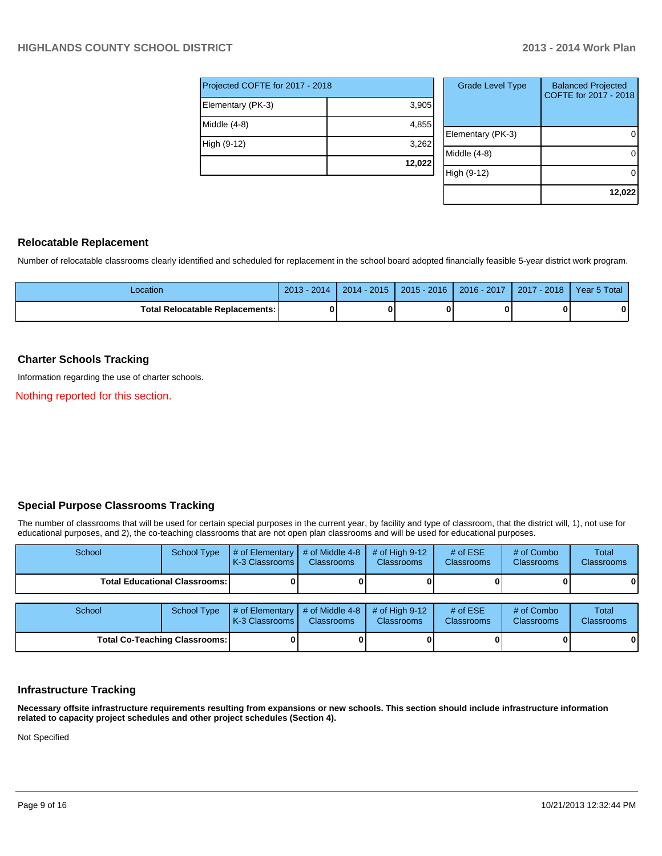| Projected COFTE for 2017 - 2018 |        |  |  |  |  |  |
|---------------------------------|--------|--|--|--|--|--|
| Elementary (PK-3)               | 3,905  |  |  |  |  |  |
| Middle (4-8)                    | 4,855  |  |  |  |  |  |
| High (9-12)                     | 3,262  |  |  |  |  |  |
|                                 | 12,022 |  |  |  |  |  |

| <b>Grade Level Type</b> | <b>Balanced Projected</b><br>COFTE for 2017 - 2018 |
|-------------------------|----------------------------------------------------|
| Elementary (PK-3)       |                                                    |
| Middle (4-8)            |                                                    |
| High (9-12)             |                                                    |
|                         | 12,022                                             |

### **Relocatable Replacement**

Number of relocatable classrooms clearly identified and scheduled for replacement in the school board adopted financially feasible 5-year district work program.

| Location                               | $2013 - 2014$ | $2014 - 2015$ | $2015 - 2016$ | 2016 - 2017 | $-2018$<br>2017 | Year 5 Total |
|----------------------------------------|---------------|---------------|---------------|-------------|-----------------|--------------|
| <b>Total Relocatable Replacements:</b> |               |               |               |             |                 | 0            |

## **Charter Schools Tracking**

Information regarding the use of charter schools.

Nothing reported for this section.

## **Special Purpose Classrooms Tracking**

The number of classrooms that will be used for certain special purposes in the current year, by facility and type of classroom, that the district will, 1), not use for educational purposes, and 2), the co-teaching classrooms that are not open plan classrooms and will be used for educational purposes.

| School                               | <b>School Type</b>                   | # of Elementary<br>K-3 Classrooms         | # of Middle 4-8<br><b>Classrooms</b> | # of High $9-12$<br><b>Classrooms</b> | # of $ESE$<br>Classrooms | # of Combo<br><b>Classrooms</b> | Total<br><b>Classrooms</b> |
|--------------------------------------|--------------------------------------|-------------------------------------------|--------------------------------------|---------------------------------------|--------------------------|---------------------------------|----------------------------|
| <b>Total Educational Classrooms:</b> |                                      |                                           |                                      |                                       |                          |                                 | 01                         |
| School                               | School Type                          | # of Elementary $\vert$<br>K-3 Classrooms | # of Middle 4-8<br><b>Classrooms</b> | # of High $9-12$<br><b>Classrooms</b> | # of $ESE$<br>Classrooms | # of Combo<br><b>Classrooms</b> | Total<br><b>Classrooms</b> |
|                                      | <b>Total Co-Teaching Classrooms:</b> |                                           |                                      |                                       |                          |                                 | 01                         |

## **Infrastructure Tracking**

**Necessary offsite infrastructure requirements resulting from expansions or new schools. This section should include infrastructure information related to capacity project schedules and other project schedules (Section 4).**

Not Specified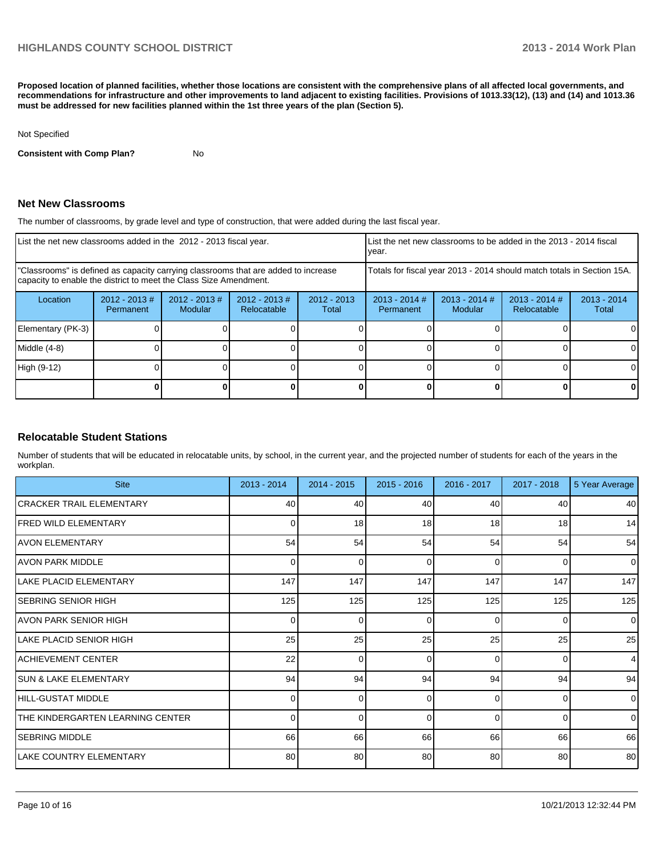**Proposed location of planned facilities, whether those locations are consistent with the comprehensive plans of all affected local governments, and recommendations for infrastructure and other improvements to land adjacent to existing facilities. Provisions of 1013.33(12), (13) and (14) and 1013.36 must be addressed for new facilities planned within the 1st three years of the plan (Section 5).**

#### Not Specified

**Consistent with Comp Plan?** No

#### **Net New Classrooms**

The number of classrooms, by grade level and type of construction, that were added during the last fiscal year.

| List the net new classrooms added in the 2012 - 2013 fiscal year.                                                                                       |                              |                                   |                                |                        | List the net new classrooms to be added in the 2013 - 2014 fiscal<br>year. |                            |                                |                        |
|---------------------------------------------------------------------------------------------------------------------------------------------------------|------------------------------|-----------------------------------|--------------------------------|------------------------|----------------------------------------------------------------------------|----------------------------|--------------------------------|------------------------|
| "Classrooms" is defined as capacity carrying classrooms that are added to increase<br>capacity to enable the district to meet the Class Size Amendment. |                              |                                   |                                |                        | Totals for fiscal year 2013 - 2014 should match totals in Section 15A.     |                            |                                |                        |
| Location                                                                                                                                                | $2012 - 2013$ #<br>Permanent | $2012 - 2013$ #<br><b>Modular</b> | $2012 - 2013$ #<br>Relocatable | $2012 - 2013$<br>Total | $2013 - 2014$ #<br>Permanent                                               | $2013 - 2014$ #<br>Modular | $2013 - 2014$ #<br>Relocatable | $2013 - 2014$<br>Total |
| Elementary (PK-3)                                                                                                                                       |                              |                                   |                                |                        |                                                                            |                            |                                |                        |
| Middle (4-8)                                                                                                                                            |                              |                                   |                                |                        |                                                                            |                            |                                |                        |
| High (9-12)                                                                                                                                             |                              |                                   |                                |                        |                                                                            |                            |                                | 0                      |
|                                                                                                                                                         |                              |                                   |                                |                        |                                                                            |                            |                                |                        |

#### **Relocatable Student Stations**

Number of students that will be educated in relocatable units, by school, in the current year, and the projected number of students for each of the years in the workplan.

| <b>Site</b>                      | $2013 - 2014$ | $2014 - 2015$ | $2015 - 2016$ | 2016 - 2017 | $2017 - 2018$ | 5 Year Average |
|----------------------------------|---------------|---------------|---------------|-------------|---------------|----------------|
| CRACKER TRAIL ELEMENTARY         | 40            | 40            | 40            | 40          | 40            | 40             |
| <b>IFRED WILD ELEMENTARY</b>     | 0             | 18            | 18            | 18          | 18            | 14             |
| <b>AVON ELEMENTARY</b>           | 54            | 54            | 54            | 54          | 54            | 54             |
| <b>AVON PARK MIDDLE</b>          | $\Omega$      | $\Omega$      | $\Omega$      | $\Omega$    | $\Omega$      | $\mathbf 0$    |
| LAKE PLACID ELEMENTARY           | 147           | 147           | 147           | 147         | 147           | 147            |
| <b>SEBRING SENIOR HIGH</b>       | 125           | 125           | 125           | 125         | 125           | 125            |
| AVON PARK SENIOR HIGH            | ŋ             | 0             | ∩             | $\Omega$    | $\Omega$      | $\mathbf{0}$   |
| ILAKE PLACID SENIOR HIGH         | 25            | 25            | 25            | 25          | 25            | 25             |
| ACHIEVEMENT CENTER               | 22            | 0             | $\Omega$      | $\Omega$    | $\Omega$      | $\overline{4}$ |
| <b>SUN &amp; LAKE ELEMENTARY</b> | 94            | 94            | 94            | 94          | 94            | 94             |
| HILL-GUSTAT MIDDLE               |               | $\Omega$      | $\Omega$      | $\Omega$    | $\Omega$      | $\mathbf{0}$   |
| THE KINDERGARTEN LEARNING CENTER | $\Omega$      | $\Omega$      | $\Omega$      | $\Omega$    | $\Omega$      | $\mathbf{0}$   |
| <b>SEBRING MIDDLE</b>            | 66            | 66            | 66            | 66          | 66            | 66             |
| LAKE COUNTRY ELEMENTARY          | 80            | 80            | 80            | 80          | 80            | 80             |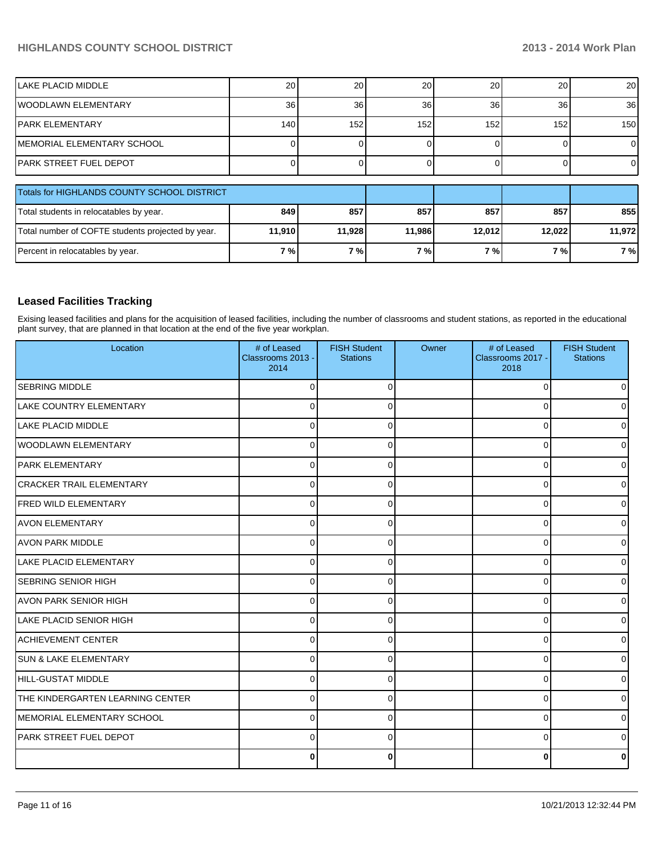## **HIGHLANDS COUNTY SCHOOL DISTRICT 2013 - 2014 Work Plan**

| ILAKE PLACID MIDDLE                               | 20     | 20     | 20     | 20     | 20     | 20 <sup>1</sup>  |
|---------------------------------------------------|--------|--------|--------|--------|--------|------------------|
| lwoodlawn ElEMENTARY                              | 36     | 36     | 36     | 36     | 36     | 36 <sup>l</sup>  |
| IPARK ELEMENTARY                                  | 140    | 152    | 152    | 152    | 152    | 150 <sup>1</sup> |
| İMEMORIAL ELEMENTARY SCHOOL                       |        |        |        |        |        | $\Omega$         |
| IPARK STREET FUEL DEPOT                           |        |        |        |        |        | $\overline{0}$   |
| Totals for HIGHLANDS COUNTY SCHOOL DISTRICT       |        |        |        |        |        |                  |
| Total students in relocatables by year.           | 849    | 857    | 857    | 857    | 857    | 855              |
| Total number of COFTE students projected by year. | 11,910 | 11,928 | 11,986 | 12,012 | 12,022 | 11,972           |
| Percent in relocatables by year.                  | 7%     | 7%     | 7%     | 7%     | 7%     | 7%               |

### **Leased Facilities Tracking**

Exising leased facilities and plans for the acquisition of leased facilities, including the number of classrooms and student stations, as reported in the educational plant survey, that are planned in that location at the end of the five year workplan.

| Location                         | # of Leased<br>Classrooms 2013 -<br>2014 | <b>FISH Student</b><br><b>Stations</b> | Owner | # of Leased<br>Classrooms 2017 -<br>2018 | <b>FISH Student</b><br><b>Stations</b> |
|----------------------------------|------------------------------------------|----------------------------------------|-------|------------------------------------------|----------------------------------------|
| <b>SEBRING MIDDLE</b>            | $\Omega$                                 | $\Omega$                               |       | $\Omega$                                 | 01                                     |
| LAKE COUNTRY ELEMENTARY          | $\Omega$                                 | ∩                                      |       | $\Omega$                                 | 0                                      |
| LAKE PLACID MIDDLE               | $\Omega$                                 | $\Omega$                               |       | $\Omega$                                 | 0                                      |
| lwoodlawn ElEMENTARY             | 0                                        | 0                                      |       | 0                                        | 01                                     |
| <b>PARK ELEMENTARY</b>           | $\Omega$                                 | O                                      |       | 0                                        | $\overline{0}$                         |
| <b>CRACKER TRAIL ELEMENTARY</b>  | $\Omega$                                 | $\Omega$                               |       | 0                                        | $\overline{0}$                         |
| FRED WILD ELEMENTARY             | $\Omega$                                 | $\Omega$                               |       | $\Omega$                                 | 01                                     |
| AVON ELEMENTARY                  | $\Omega$                                 | $\Omega$                               |       | 0                                        | $\overline{0}$                         |
| <b>AVON PARK MIDDLE</b>          | $\Omega$                                 | ∩                                      |       | 0                                        | $\overline{0}$                         |
| <b>LAKE PLACID ELEMENTARY</b>    | $\Omega$                                 | $\Omega$                               |       | 0                                        | $\overline{0}$                         |
| <b>SEBRING SENIOR HIGH</b>       | $\Omega$                                 | $\Omega$                               |       | 0                                        | $\overline{0}$                         |
| <b>AVON PARK SENIOR HIGH</b>     | $\Omega$                                 | 0                                      |       | 0                                        | $\overline{0}$                         |
| <b>LAKE PLACID SENIOR HIGH</b>   | $\Omega$                                 | $\Omega$                               |       | $\Omega$                                 | $\overline{0}$                         |
| <b>ACHIEVEMENT CENTER</b>        | $\Omega$                                 | $\Omega$                               |       | $\Omega$                                 | 01                                     |
| <b>SUN &amp; LAKE ELEMENTARY</b> | $\Omega$                                 | $\Omega$                               |       | $\Omega$                                 | $\overline{0}$                         |
| HILL-GUSTAT MIDDLE               | $\Omega$                                 |                                        |       | 0                                        | $\Omega$                               |
| THE KINDERGARTEN LEARNING CENTER | $\Omega$                                 | 0                                      |       | $\Omega$                                 | $\overline{0}$                         |
| MEMORIAL ELEMENTARY SCHOOL       | $\Omega$                                 | 0                                      |       | 0                                        | $\overline{0}$                         |
| <b>PARK STREET FUEL DEPOT</b>    | $\Omega$                                 | O                                      |       | $\Omega$                                 | $\overline{0}$                         |
|                                  | 0                                        | 0                                      |       |                                          | 0                                      |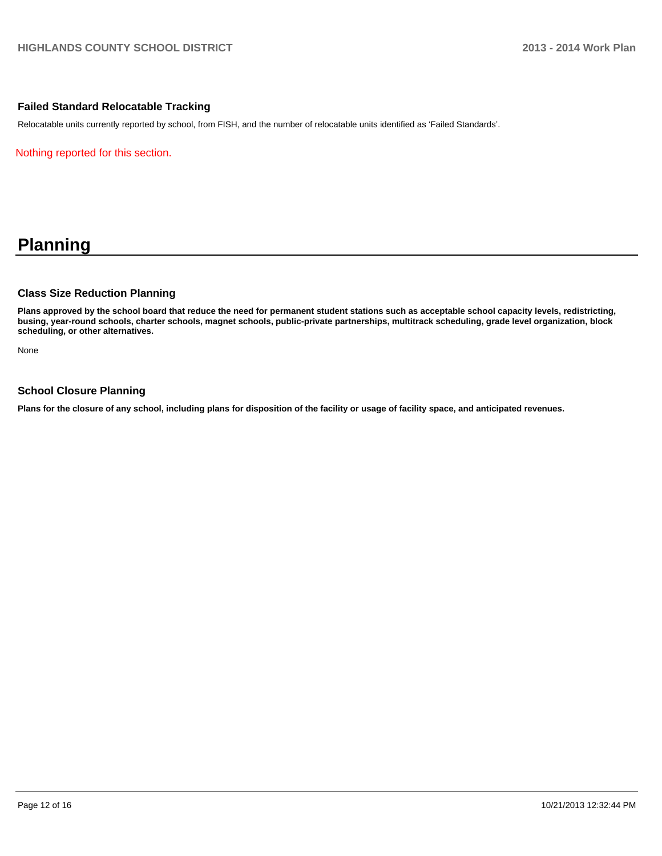#### **Failed Standard Relocatable Tracking**

Relocatable units currently reported by school, from FISH, and the number of relocatable units identified as 'Failed Standards'.

Nothing reported for this section.

## **Planning**

### **Class Size Reduction Planning**

**Plans approved by the school board that reduce the need for permanent student stations such as acceptable school capacity levels, redistricting, busing, year-round schools, charter schools, magnet schools, public-private partnerships, multitrack scheduling, grade level organization, block scheduling, or other alternatives.**

None

#### **School Closure Planning**

**Plans for the closure of any school, including plans for disposition of the facility or usage of facility space, and anticipated revenues.**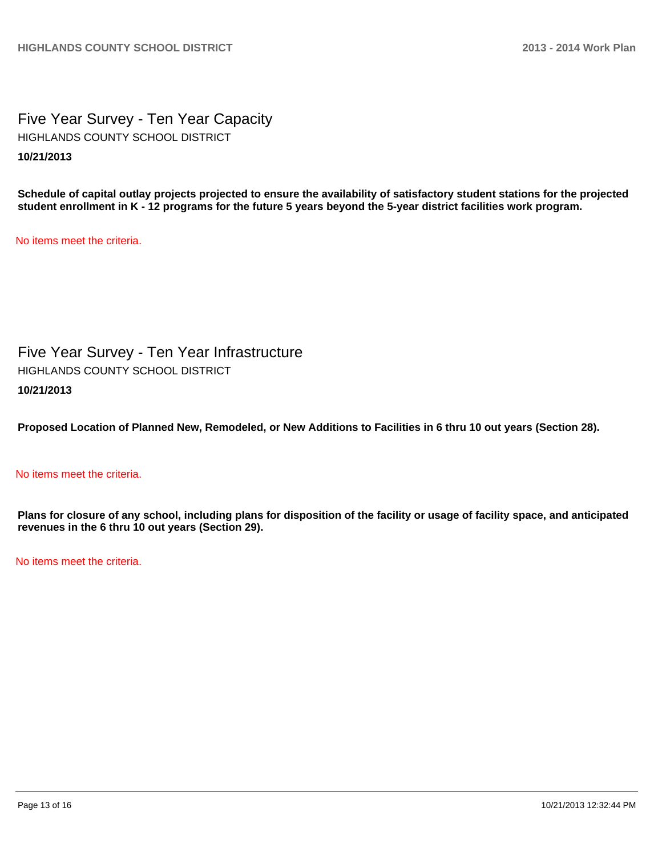Five Year Survey - Ten Year Capacity **10/21/2013** HIGHLANDS COUNTY SCHOOL DISTRICT

**Schedule of capital outlay projects projected to ensure the availability of satisfactory student stations for the projected student enrollment in K - 12 programs for the future 5 years beyond the 5-year district facilities work program.**

No items meet the criteria.

Five Year Survey - Ten Year Infrastructure **10/21/2013** HIGHLANDS COUNTY SCHOOL DISTRICT

**Proposed Location of Planned New, Remodeled, or New Additions to Facilities in 6 thru 10 out years (Section 28).**

No items meet the criteria.

**Plans for closure of any school, including plans for disposition of the facility or usage of facility space, and anticipated revenues in the 6 thru 10 out years (Section 29).**

No items meet the criteria.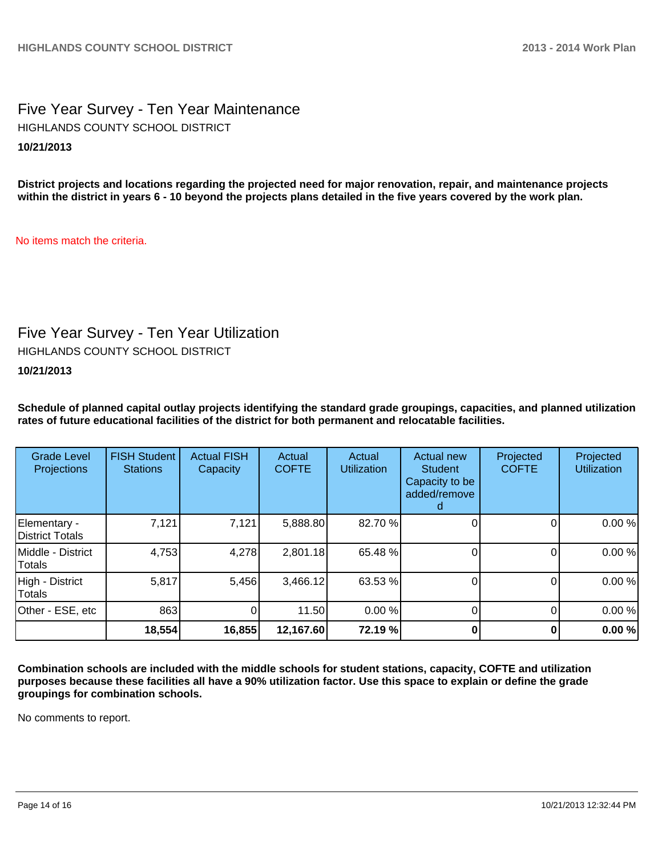Five Year Survey - Ten Year Maintenance **10/21/2013** HIGHLANDS COUNTY SCHOOL DISTRICT

**District projects and locations regarding the projected need for major renovation, repair, and maintenance projects within the district in years 6 - 10 beyond the projects plans detailed in the five years covered by the work plan.**

No items match the criteria.

## Five Year Survey - Ten Year Utilization

HIGHLANDS COUNTY SCHOOL DISTRICT

**10/21/2013**

**Schedule of planned capital outlay projects identifying the standard grade groupings, capacities, and planned utilization rates of future educational facilities of the district for both permanent and relocatable facilities.**

| <b>Grade Level</b><br>Projections | <b>FISH Student</b><br><b>Stations</b> | <b>Actual FISH</b><br>Capacity | Actual<br><b>COFTE</b> | Actual<br><b>Utilization</b> | Actual new<br><b>Student</b><br>Capacity to be<br>added/remove | Projected<br><b>COFTE</b> | Projected<br><b>Utilization</b> |
|-----------------------------------|----------------------------------------|--------------------------------|------------------------|------------------------------|----------------------------------------------------------------|---------------------------|---------------------------------|
| Elementary -<br>District Totals   | 7,121                                  | 7,121                          | 5,888.80               | 82.70 %                      |                                                                |                           | 0.00%                           |
| Middle - District<br>Totals       | 4,753                                  | 4,278                          | 2,801.18               | 65.48 %                      |                                                                |                           | 0.00%                           |
| High - District<br>Totals         | 5,817                                  | 5,456                          | 3,466.12               | 63.53 %                      |                                                                |                           | 0.00%                           |
| Other - ESE, etc                  | 863                                    | 0                              | 11.50                  | 0.00 %                       |                                                                |                           | 0.00%                           |
|                                   | 18,554                                 | 16,855                         | 12,167.60              | 72.19 %                      |                                                                |                           | 0.00%                           |

**Combination schools are included with the middle schools for student stations, capacity, COFTE and utilization purposes because these facilities all have a 90% utilization factor. Use this space to explain or define the grade groupings for combination schools.**

No comments to report.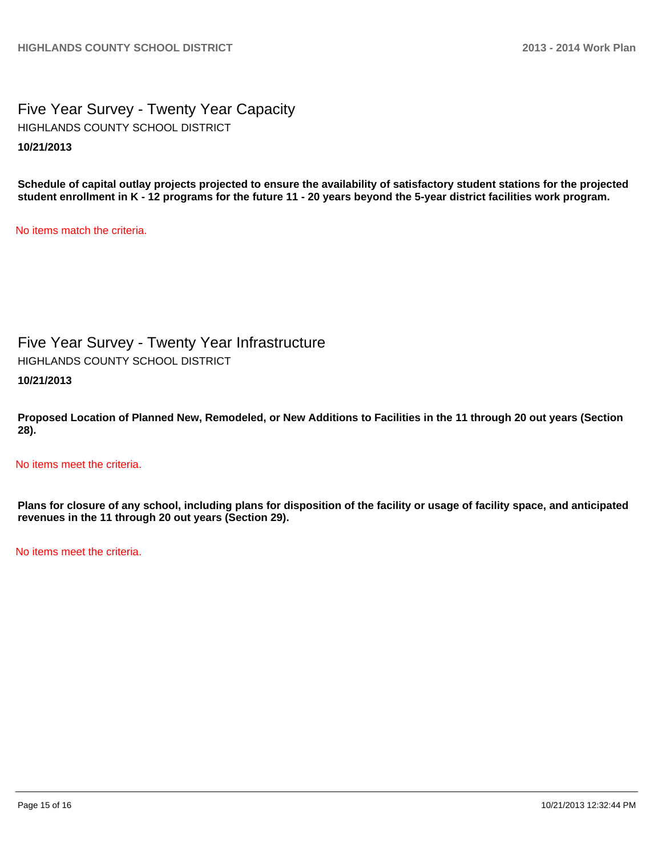Five Year Survey - Twenty Year Capacity **10/21/2013** HIGHLANDS COUNTY SCHOOL DISTRICT

**Schedule of capital outlay projects projected to ensure the availability of satisfactory student stations for the projected student enrollment in K - 12 programs for the future 11 - 20 years beyond the 5-year district facilities work program.**

No items match the criteria.

Five Year Survey - Twenty Year Infrastructure HIGHLANDS COUNTY SCHOOL DISTRICT

**10/21/2013**

**Proposed Location of Planned New, Remodeled, or New Additions to Facilities in the 11 through 20 out years (Section 28).**

No items meet the criteria.

**Plans for closure of any school, including plans for disposition of the facility or usage of facility space, and anticipated revenues in the 11 through 20 out years (Section 29).**

No items meet the criteria.